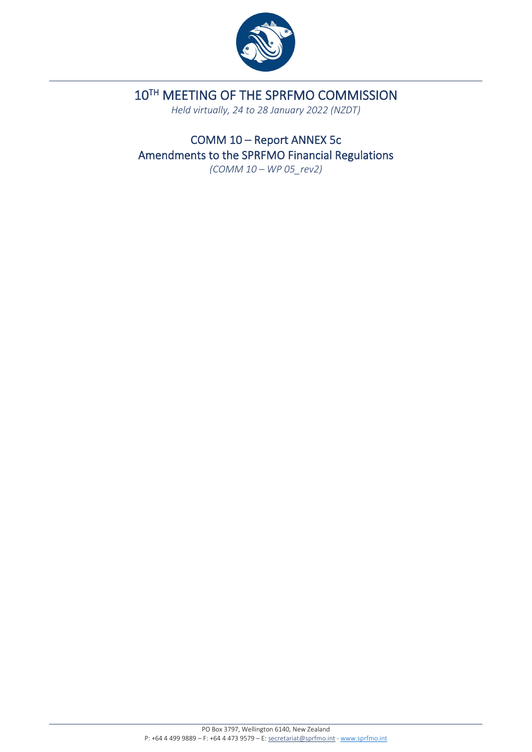

# 10TH MEETING OF THE SPRFMO COMMISSION

*Held virtually, 24 to 28 January 2022 (NZDT)*

COMM 10 – Report ANNEX 5c Amendments to the SPRFMO Financial Regulations

*(COMM 10 – WP 05\_rev2)*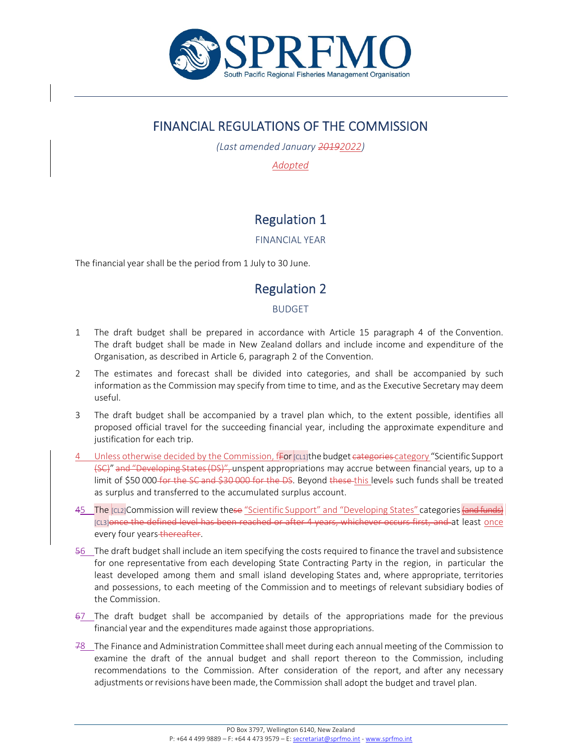

## FINANCIAL REGULATIONS OF THE COMMISSION

*(Last amended January 20192022)*

*Adopted*

# Regulation 1

FINANCIAL YEAR

The financial year shall be the period from 1 July to 30 June.

### Regulation 2

#### BUDGET

- 1 The draft budget shall be prepared in accordance with Article 15 paragraph 4 of the Convention. The draft budget shall be made in New Zealand dollars and include income and expenditure of the Organisation, as described in Article 6, paragraph 2 of the Convention.
- 2 The estimates and forecast shall be divided into categories, and shall be accompanied by such information as the Commission may specify from time to time, and as the Executive Secretary may deem useful.
- 3 The draft budget shall be accompanied by a travel plan which, to the extent possible, identifies all proposed official travel for the succeeding financial year, including the approximate expenditure and justification for each trip.
- Unless otherwise decided by the Commission,  $f_{\text{F0}}r_{\text{CLI}}$  the budget categories category "Scientific Support (SC)" and "Developing States(DS)", unspent appropriations may accrue between financial years, up to a limit of \$50 000 for the SC and \$30 000 for the DS. Beyond these this levels such funds shall be treated as surplus and transferred to the accumulated surplus account.
- 45 The  $|C|$  CL2]Commission will review these "Scientific Support" and "Developing States" categories (and funds) [CL3]once the defined level has been reached or after 4 years, whichever occurs first, and at least once every four years thereafter.
- 56 The draft budget shall include an item specifying the costs required to finance the travel and subsistence for one representative from each developing State Contracting Party in the region, in particular the least developed among them and small island developing States and, where appropriate, territories and possessions, to each meeting of the Commission and to meetings of relevant subsidiary bodies of the Commission.
- 67 The draft budget shall be accompanied by details of the appropriations made for the previous financial year and the expenditures made against those appropriations.
- 78 The Finance and Administration Committee shall meet during each annual meeting of the Commission to examine the draft of the annual budget and shall report thereon to the Commission, including recommendations to the Commission. After consideration of the report, and after any necessary adjustments or revisions have been made, the Commission shall adopt the budget and travel plan.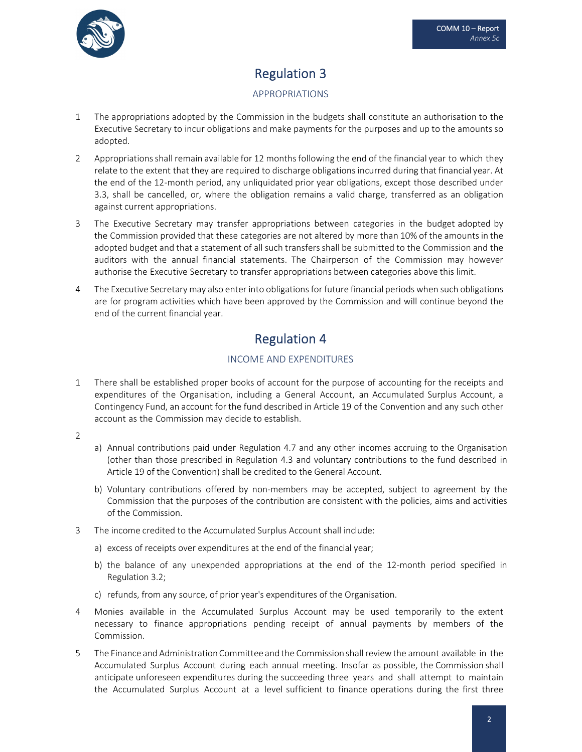

# Regulation 3

#### APPROPRIATIONS

- 1 The appropriations adopted by the Commission in the budgets shall constitute an authorisation to the Executive Secretary to incur obligations and make payments for the purposes and up to the amounts so adopted.
- 2 Appropriations shall remain available for 12 months following the end of the financial year to which they relate to the extent that they are required to discharge obligations incurred during that financial year. At the end of the 12‐month period, any unliquidated prior year obligations, except those described under 3.3, shall be cancelled, or, where the obligation remains a valid charge, transferred as an obligation against current appropriations.
- 3 The Executive Secretary may transfer appropriations between categories in the budget adopted by the Commission provided that these categories are not altered by more than 10% of the amounts in the adopted budget and that a statement of all such transfersshall be submitted to the Commission and the auditors with the annual financial statements. The Chairperson of the Commission may however authorise the Executive Secretary to transfer appropriations between categories above this limit.
- 4 The Executive Secretary may also enter into obligations for future financial periods when such obligations are for program activities which have been approved by the Commission and will continue beyond the end of the current financial year.

## Regulation 4

#### INCOME AND EXPENDITURES

- 1 There shall be established proper books of account for the purpose of accounting for the receipts and expenditures of the Organisation, including a General Account, an Accumulated Surplus Account, a Contingency Fund, an account for the fund described in Article 19 of the Convention and any such other account as the Commission may decide to establish.
- 2
- a) Annual contributions paid under Regulation 4.7 and any other incomes accruing to the Organisation (other than those prescribed in Regulation 4.3 and voluntary contributions to the fund described in Article 19 of the Convention) shall be credited to the General Account.
- b) Voluntary contributions offered by non-members may be accepted, subject to agreement by the Commission that the purposes of the contribution are consistent with the policies, aims and activities of the Commission.
- 3 The income credited to the Accumulated Surplus Account shall include:
	- a) excess of receipts over expenditures at the end of the financial year;
	- b) the balance of any unexpended appropriations at the end of the 12-month period specified in Regulation 3.2;
	- c) refunds, from any source, of prior year's expenditures of the Organisation.
- 4 Monies available in the Accumulated Surplus Account may be used temporarily to the extent necessary to finance appropriations pending receipt of annual payments by members of the Commission.
- 5 The Finance and AdministrationCommittee and the Commission shallreviewthe amount available in the Accumulated Surplus Account during each annual meeting. Insofar as possible, the Commission shall anticipate unforeseen expenditures during the succeeding three years and shall attempt to maintain the Accumulated Surplus Account at a level sufficient to finance operations during the first three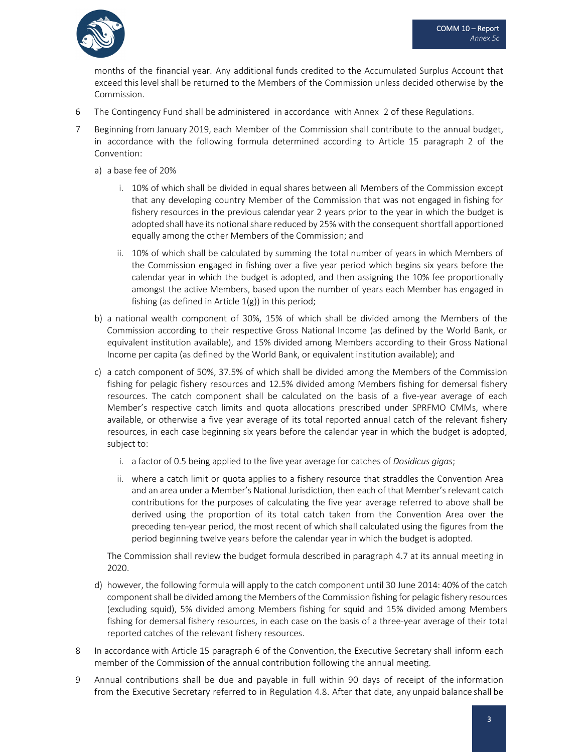

months of the financial year. Any additional funds credited to the Accumulated Surplus Account that exceed this level shall be returned to the Members of the Commission unless decided otherwise by the Commission.

- 6 The Contingency Fund shall be administered in accordance with Annex 2 of these Regulations.
- 7 Beginning from January 2019, each Member of the Commission shall contribute to the annual budget, in accordance with the following formula determined according to Article 15 paragraph 2 of the Convention:
	- a) a base fee of 20%
		- i. 10% of which shall be divided in equal shares between all Members of the Commission except that any developing country Member of the Commission that was not engaged in fishing for fishery resources in the previous calendar year 2 years prior to the year in which the budget is adopted shall have its notional share reduced by 25% with the consequent shortfall apportioned equally among the other Members of the Commission; and
		- ii. 10% of which shall be calculated by summing the total number of years in which Members of the Commission engaged in fishing over a five year period which begins six years before the calendar year in which the budget is adopted, and then assigning the 10% fee proportionally amongst the active Members, based upon the number of years each Member has engaged in fishing (as defined in Article  $1(g)$ ) in this period;
	- b) a national wealth component of 30%, 15% of which shall be divided among the Members of the Commission according to their respective Gross National Income (as defined by the World Bank, or equivalent institution available), and 15% divided among Members according to their Gross National Income per capita (as defined by the World Bank, or equivalent institution available); and
	- c) a catch component of 50%, 37.5% of which shall be divided among the Members of the Commission fishing for pelagic fishery resources and 12.5% divided among Members fishing for demersal fishery resources. The catch component shall be calculated on the basis of a five-year average of each Member's respective catch limits and quota allocations prescribed under SPRFMO CMMs, where available, or otherwise a five year average of its total reported annual catch of the relevant fishery resources, in each case beginning six years before the calendar year in which the budget is adopted, subject to:
		- i. a factor of 0.5 being applied to the five year average for catches of *Dosidicus gigas*;
		- ii. where a catch limit or quota applies to a fishery resource that straddles the Convention Area and an area under a Member's National Jurisdiction, then each of that Member's relevant catch contributions for the purposes of calculating the five year average referred to above shall be derived using the proportion of its total catch taken from the Convention Area over the preceding ten‐year period, the most recent of which shall calculated using the figures from the period beginning twelve years before the calendar year in which the budget is adopted.

The Commission shall review the budget formula described in paragraph 4.7 at its annual meeting in 2020.

- d) however, the following formula will apply to the catch component until 30 June 2014: 40% of the catch componentshall be divided among the Members of the Commission fishing for pelagic fishery resources (excluding squid), 5% divided among Members fishing for squid and 15% divided among Members fishing for demersal fishery resources, in each case on the basis of a three-year average of their total reported catches of the relevant fishery resources.
- 8 In accordance with Article 15 paragraph 6 of the Convention, the Executive Secretary shall inform each member of the Commission of the annual contribution following the annual meeting.
- 9 Annual contributions shall be due and payable in full within 90 days of receipt of the information from the Executive Secretary referred to in Regulation 4.8. After that date, any unpaid balance shall be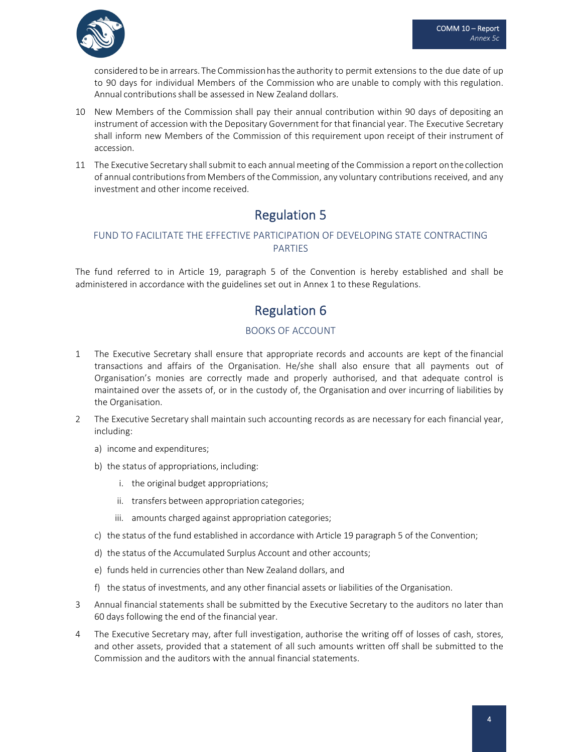

considered to be in arrears. The Commissionhasthe authority to permit extensions to the due date of up to 90 days for individual Members of the Commission who are unable to comply with this regulation. Annual contributions shall be assessed in New Zealand dollars.

- 10 New Members of the Commission shall pay their annual contribution within 90 days of depositing an instrument of accession with the Depositary Government for that financial year. The Executive Secretary shall inform new Members of the Commission of this requirement upon receipt of their instrument of accession.
- 11 The Executive Secretary shallsubmit to each annual meeting of the Commission a report onthe collection of annual contributionsfrom Members of the Commission, any voluntary contributions received, and any investment and other income received.

### Regulation 5

#### FUND TO FACILITATE THE EFFECTIVE PARTICIPATION OF DEVELOPING STATE CONTRACTING PARTIES

The fund referred to in Article 19, paragraph 5 of the Convention is hereby established and shall be administered in accordance with the guidelines set out in Annex 1 to these Regulations.

### Regulation 6

#### BOOKS OF ACCOUNT

- 1 The Executive Secretary shall ensure that appropriate records and accounts are kept of the financial transactions and affairs of the Organisation. He/she shall also ensure that all payments out of Organisation's monies are correctly made and properly authorised, and that adequate control is maintained over the assets of, or in the custody of, the Organisation and over incurring of liabilities by the Organisation.
- 2 The Executive Secretary shall maintain such accounting records as are necessary for each financial year, including:
	- a) income and expenditures;
	- b) the status of appropriations, including:
		- i. the original budget appropriations;
		- ii. transfers between appropriation categories;
		- iii. amounts charged against appropriation categories;
	- c) the status of the fund established in accordance with Article 19 paragraph 5 of the Convention;
	- d) the status of the Accumulated Surplus Account and other accounts;
	- e) funds held in currencies other than New Zealand dollars, and
	- f) the status of investments, and any other financial assets or liabilities of the Organisation.
- 3 Annual financial statements shall be submitted by the Executive Secretary to the auditors no later than 60 days following the end of the financial year.
- 4 The Executive Secretary may, after full investigation, authorise the writing off of losses of cash, stores, and other assets, provided that a statement of all such amounts written off shall be submitted to the Commission and the auditors with the annual financial statements.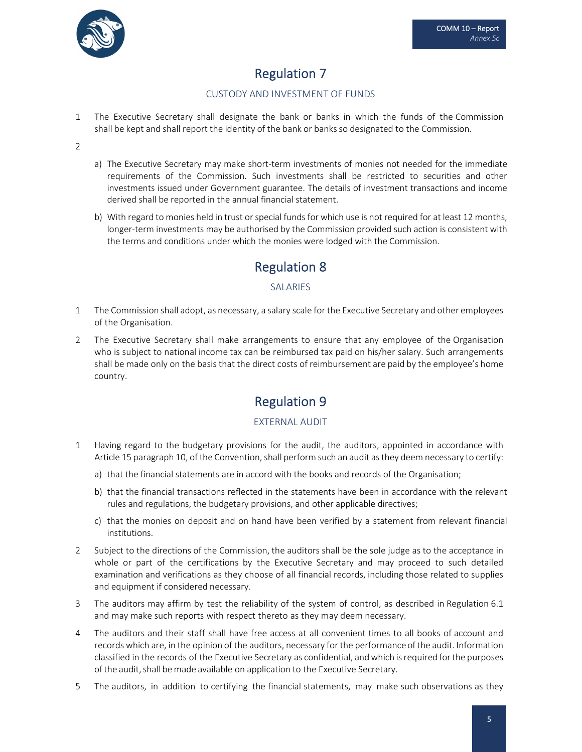

# Regulation 7

#### CUSTODY AND INVESTMENT OF FUNDS

1 The Executive Secretary shall designate the bank or banks in which the funds of the Commission shall be kept and shall report the identity of the bank or banksso designated to the Commission.

 $\mathcal{L}$ 

- a) The Executive Secretary may make short-term investments of monies not needed for the immediate requirements of the Commission. Such investments shall be restricted to securities and other investments issued under Government guarantee. The details of investment transactions and income derived shall be reported in the annual financial statement.
- b) With regard to monies held in trust or special funds for which use is not required for at least 12 months, longer-term investments may be authorised by the Commission provided such action is consistent with the terms and conditions under which the monies were lodged with the Commission.

## Regulation 8

#### SALARIES

- 1 The Commission shall adopt, as necessary, a salary scale for the Executive Secretary and other employees of the Organisation.
- 2 The Executive Secretary shall make arrangements to ensure that any employee of the Organisation who is subject to national income tax can be reimbursed tax paid on his/her salary. Such arrangements shall be made only on the basis that the direct costs of reimbursement are paid by the employee's home country.

### Regulation 9

#### EXTERNAL AUDIT

- 1 Having regard to the budgetary provisions for the audit, the auditors, appointed in accordance with Article 15 paragraph 10, of the Convention, shall perform such an audit as they deem necessary to certify:
	- a) that the financial statements are in accord with the books and records of the Organisation;
	- b) that the financial transactions reflected in the statements have been in accordance with the relevant rules and regulations, the budgetary provisions, and other applicable directives;
	- c) that the monies on deposit and on hand have been verified by a statement from relevant financial institutions.
- 2 Subject to the directions of the Commission, the auditors shall be the sole judge as to the acceptance in whole or part of the certifications by the Executive Secretary and may proceed to such detailed examination and verifications as they choose of all financial records, including those related to supplies and equipment if considered necessary.
- 3 The auditors may affirm by test the reliability of the system of control, as described in Regulation 6.1 and may make such reports with respect thereto as they may deem necessary.
- 4 The auditors and their staff shall have free access at all convenient times to all books of account and records which are, in the opinion of the auditors, necessary for the performance of the audit. Information classified in the records of the Executive Secretary as confidential, andwhich isrequired forthe purposes of the audit, shall be made available on application to the Executive Secretary.
- 5 The auditors, in addition to certifying the financial statements, may make such observations as they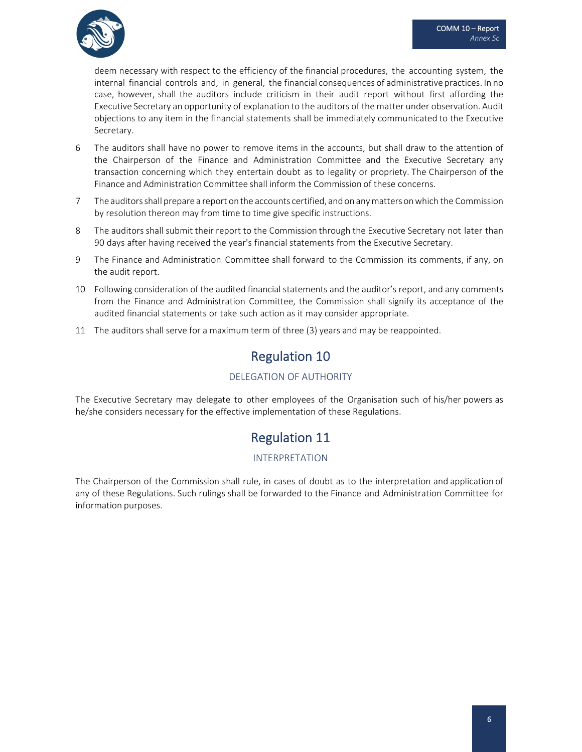

deem necessary with respect to the efficiency of the financial procedures, the accounting system, the internal financial controls and, in general, the financial consequences of administrative practices. In no case, however, shall the auditors include criticism in their audit report without first affording the Executive Secretary an opportunity of explanation to the auditors of the matter under observation. Audit objections to any item in the financial statements shall be immediately communicated to the Executive Secretary.

- 6 The auditors shall have no power to remove items in the accounts, but shall draw to the attention of the Chairperson of the Finance and Administration Committee and the Executive Secretary any transaction concerning which they entertain doubt as to legality or propriety. The Chairperson of the Finance and Administration Committee shall inform the Commission of these concerns.
- 7 The auditorsshall prepare a report on the accounts certified, and on anymattersonwhich the Commission by resolution thereon may from time to time give specific instructions.
- 8 The auditors shall submit their report to the Commission through the Executive Secretary not later than 90 days after having received the year's financial statements from the Executive Secretary.
- 9 The Finance and Administration Committee shall forward to the Commission its comments, if any, on the audit report.
- 10 Following consideration of the audited financial statements and the auditor's report, and any comments from the Finance and Administration Committee, the Commission shall signify its acceptance of the audited financial statements or take such action as it may consider appropriate.
- 11 The auditors shall serve for a maximum term of three (3) years and may be reappointed.

## Regulation 10

#### DELEGATION OF AUTHORITY

The Executive Secretary may delegate to other employees of the Organisation such of his/her powers as he/she considers necessary for the effective implementation of these Regulations.

### Regulation 11

#### INTERPRETATION

The Chairperson of the Commission shall rule, in cases of doubt as to the interpretation and application of any of these Regulations. Such rulings shall be forwarded to the Finance and Administration Committee for information purposes.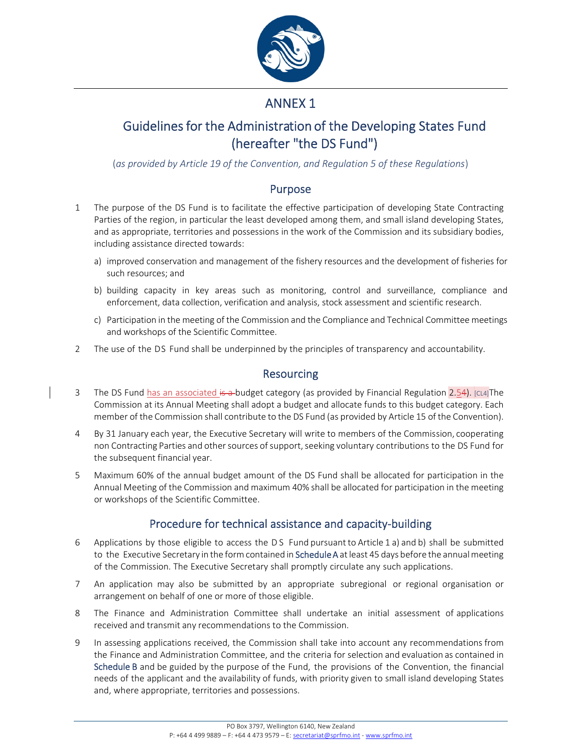

## ANNEX 1

## Guidelines for the Administration of the Developing States Fund (hereafter "the DS Fund")

(*as provided by Article 19 of the Convention, and Regulation 5 of these Regulations*)

#### Purpose

- 1 The purpose of the DS Fund is to facilitate the effective participation of developing State Contracting Parties of the region, in particular the least developed among them, and small island developing States, and as appropriate, territories and possessions in the work of the Commission and its subsidiary bodies, including assistance directed towards:
	- a) improved conservation and management of the fishery resources and the development of fisheries for such resources; and
	- b) building capacity in key areas such as monitoring, control and surveillance, compliance and enforcement, data collection, verification and analysis, stock assessment and scientific research.
	- c) Participation in the meeting of the Commission and the Compliance and Technical Committee meetings and workshops of the Scientific Committee.
- 2 The use of the DS Fund shall be underpinned by the principles of transparency and accountability.

#### Resourcing

- 3 The DS Fund has an associated is a budget category (as provided by Financial Regulation  $[2.54)$ .  $[c14]$ The Commission at its Annual Meeting shall adopt a budget and allocate funds to this budget category. Each member of the Commission shall contribute to the DS Fund (as provided by Article 15 of the Convention).
- 4 By 31 January each year, the Executive Secretary will write to members of the Commission, cooperating non Contracting Parties and other sources of support, seeking voluntary contributions to the DS Fund for the subsequent financial year.
- 5 Maximum 60% of the annual budget amount of the DS Fund shall be allocated for participation in the Annual Meeting of the Commission and maximum 40% shall be allocated for participation in the meeting or workshops of the Scientific Committee.

### Procedure for technical assistance and capacity‐building

- 6 Applications by those eligible to access the D S Fund pursuant to Article 1 a) and b) shall be submitted to the Executive Secretary in the form contained in Schedule A at least 45 days before the annual meeting of the Commission. The Executive Secretary shall promptly circulate any such applications.
- 7 An application may also be submitted by an appropriate subregional or regional organisation or arrangement on behalf of one or more of those eligible.
- 8 The Finance and Administration Committee shall undertake an initial assessment of applications received and transmit any recommendations to the Commission.
- 9 In assessing applications received, the Commission shall take into account any recommendations from the Finance and Administration Committee, and the criteria for selection and evaluation as contained in Schedule B and be guided by the purpose of the Fund, the provisions of the Convention, the financial needs of the applicant and the availability of funds, with priority given to small island developing States and, where appropriate, territories and possessions.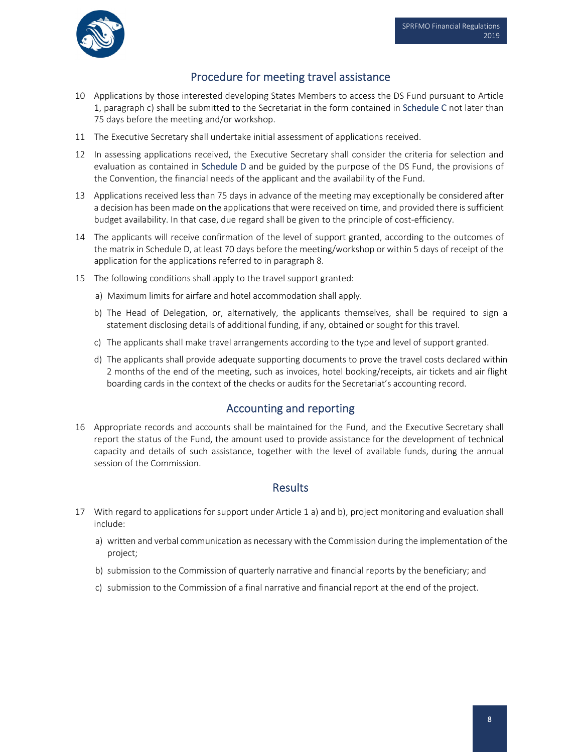

### Procedure for meeting travel assistance

- 10 Applications by those interested developing States Members to access the DS Fund pursuant to Article 1, paragraph c) shall be submitted to the Secretariat in the form contained in Schedule C not later than 75 days before the meeting and/or workshop.
- 11 The Executive Secretary shall undertake initial assessment of applications received.
- 12 In assessing applications received, the Executive Secretary shall consider the criteria for selection and evaluation as contained in Schedule D and be guided by the purpose of the DS Fund, the provisions of the Convention, the financial needs of the applicant and the availability of the Fund.
- 13 Applications received less than 75 days in advance of the meeting may exceptionally be considered after a decision has been made on the applications that were received on time, and provided there is sufficient budget availability. In that case, due regard shall be given to the principle of cost‐efficiency.
- 14 The applicants will receive confirmation of the level of support granted, according to the outcomes of the matrix in Schedule D, at least 70 days before the meeting/workshop or within 5 days of receipt of the application for the applications referred to in paragraph 8.
- 15 The following conditions shall apply to the travel support granted:
	- a) Maximum limits for airfare and hotel accommodation shall apply.
	- b) The Head of Delegation, or, alternatively, the applicants themselves, shall be required to sign a statement disclosing details of additional funding, if any, obtained or sought for this travel.
	- c) The applicants shall make travel arrangements according to the type and level of support granted.
	- d) The applicants shall provide adequate supporting documents to prove the travel costs declared within 2 months of the end of the meeting, such as invoices, hotel booking/receipts, air tickets and air flight boarding cards in the context of the checks or audits for the Secretariat's accounting record.

#### Accounting and reporting

16 Appropriate records and accounts shall be maintained for the Fund, and the Executive Secretary shall report the status of the Fund, the amount used to provide assistance for the development of technical capacity and details of such assistance, together with the level of available funds, during the annual session of the Commission.

#### **Results**

- 17 With regard to applications for support under Article 1 a) and b), project monitoring and evaluation shall include:
	- a) written and verbal communication as necessary with the Commission during the implementation of the project;
	- b) submission to the Commission of quarterly narrative and financial reports by the beneficiary; and
	- c) submission to the Commission of a final narrative and financial report at the end of the project.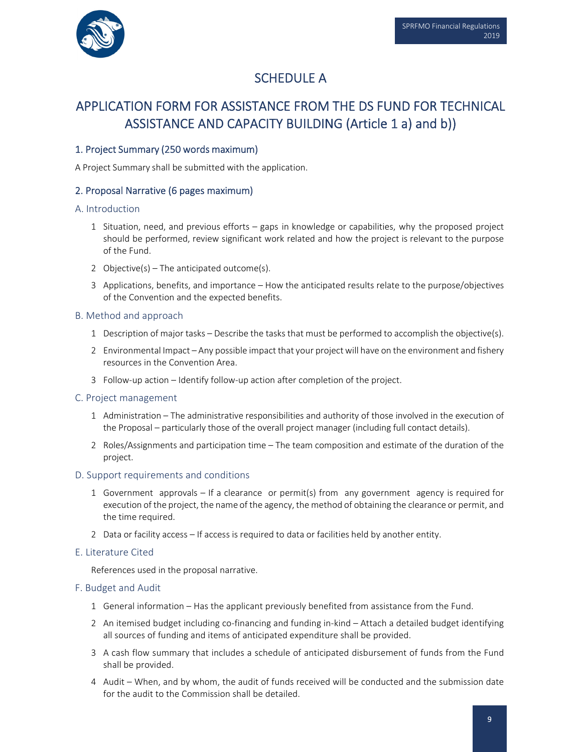

## SCHEDULE A

## APPLICATION FORM FOR ASSISTANCE FROM THE DS FUND FOR TECHNICAL ASSISTANCE AND CAPACITY BUILDING (Article 1 a) and b))

#### 1. Project Summary (250 words maximum)

A Project Summary shall be submitted with the application.

#### 2. Proposal Narrative (6 pages maximum)

#### A. Introduction

- 1 Situation, need, and previous efforts gaps in knowledge or capabilities, why the proposed project should be performed, review significant work related and how the project is relevant to the purpose of the Fund.
- 2 Objective(s) The anticipated outcome(s).
- 3 Applications, benefits, and importance How the anticipated results relate to the purpose/objectives of the Convention and the expected benefits.

#### B. Method and approach

- 1 Description of major tasks Describe the tasks that must be performed to accomplish the objective(s).
- 2 Environmental Impact Any possible impact that your projectwill have on the environment and fishery resources in the Convention Area.
- 3 Follow‐up action Identify follow‐up action after completion of the project.
- C. Project management
	- 1 Administration The administrative responsibilities and authority of those involved in the execution of the Proposal – particularly those of the overall project manager (including full contact details).
	- 2 Roles/Assignments and participation time The team composition and estimate of the duration of the project.

#### D. Support requirements and conditions

- 1 Government approvals If a clearance or permit(s) from any government agency is required for execution of the project, the name of the agency, the method of obtaining the clearance or permit, and the time required.
- 2 Data or facility access If access is required to data or facilities held by another entity.

#### E. Literature Cited

References used in the proposal narrative.

#### F. Budget and Audit

- 1 General information Has the applicant previously benefited from assistance from the Fund.
- 2 An itemised budget including co-financing and funding in-kind Attach a detailed budget identifying all sources of funding and items of anticipated expenditure shall be provided.
- 3 A cash flow summary that includes a schedule of anticipated disbursement of funds from the Fund shall be provided.
- 4 Audit When, and by whom, the audit of funds received will be conducted and the submission date for the audit to the Commission shall be detailed.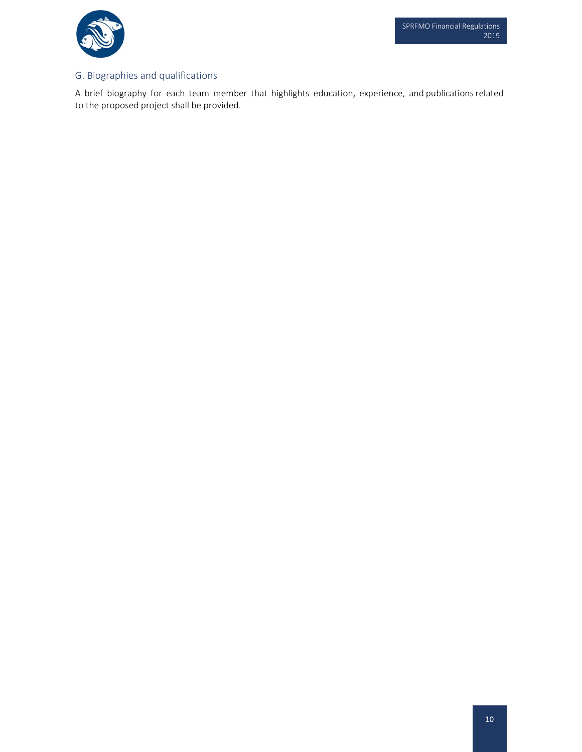

#### G. Biographies and qualifications

A brief biography for each team member that highlights education, experience, and publicationsrelated to the proposed project shall be provided.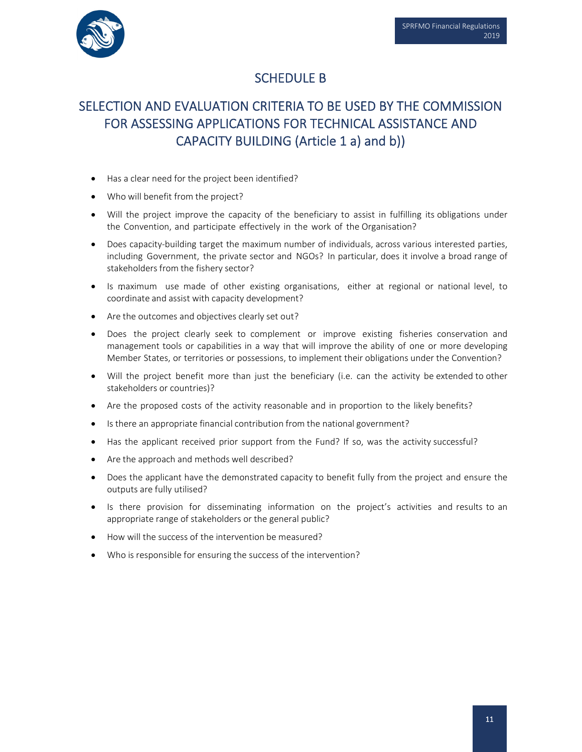

## SCHEDULE B

# SELECTION AND EVALUATION CRITERIA TO BE USED BY THE COMMISSION FOR ASSESSING APPLICATIONS FOR TECHNICAL ASSISTANCE AND CAPACITY BUILDING (Article 1 a) and b))

- Has a clear need for the project been identified?
- Who will benefit from the project?
- Will the project improve the capacity of the beneficiary to assist in fulfilling its obligations under the Convention, and participate effectively in the work of the Organisation?
- Does capacity-building target the maximum number of individuals, across various interested parties, including Government, the private sector and NGOs? In particular, does it involve a broad range of stakeholders from the fishery sector?
- Is maximum use made of other existing organisations, either at regional or national level, to coordinate and assist with capacity development?
- Are the outcomes and objectives clearly set out?
- Does the project clearly seek to complement or improve existing fisheries conservation and management tools or capabilities in a way that will improve the ability of one or more developing Member States, or territories or possessions, to implement their obligations under the Convention?
- Will the project benefit more than just the beneficiary (i.e. can the activity be extended to other stakeholders or countries)?
- Are the proposed costs of the activity reasonable and in proportion to the likely benefits?
- Is there an appropriate financial contribution from the national government?
- Has the applicant received prior support from the Fund? If so, was the activity successful?
- Are the approach and methods well described?
- Does the applicant have the demonstrated capacity to benefit fully from the project and ensure the outputs are fully utilised?
- Is there provision for disseminating information on the project's activities and results to an appropriate range of stakeholders or the general public?
- How will the success of the intervention be measured?
- Who is responsible for ensuring the success of the intervention?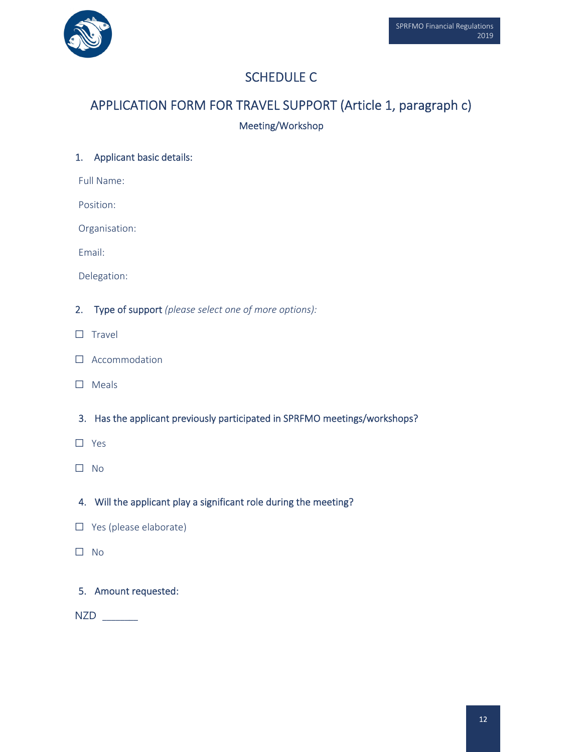

# SCHEDULE C

# APPLICATION FORM FOR TRAVEL SUPPORT (Article 1, paragraph c) Meeting/Workshop

#### 1. Applicant basic details:

Full Name:

Position:

Organisation:

Email:

Delegation:

- 2. Type of support *(please select one of more options):*
- □ Travel
- □ Accommodation
- □ Meals
- 3. Has the applicant previously participated in SPRFMO meetings/workshops?
- ☐ Yes
- ☐ No

4. Will the applicant play a significant role during the meeting?

- □ Yes (please elaborate)
- $\square$  No

#### 5. Amount requested:

NZD \_\_\_\_\_\_\_\_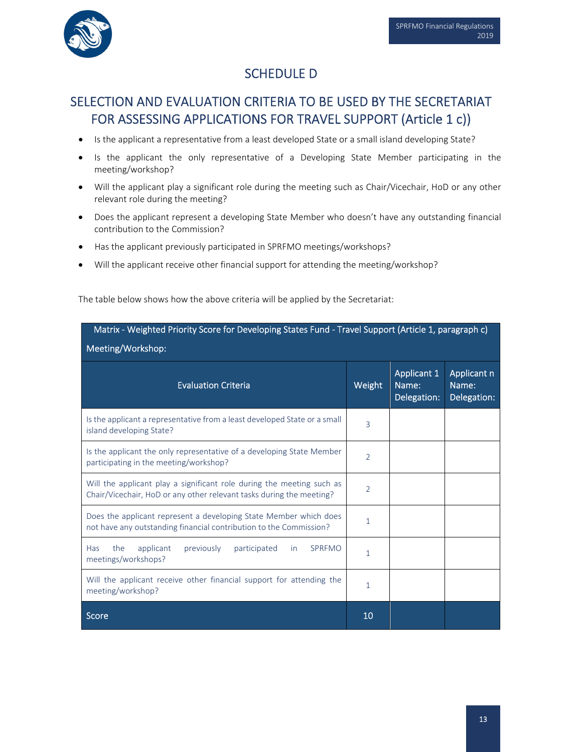

### SCHEDULE D

## SELECTION AND EVALUATION CRITERIA TO BE USED BY THE SECRETARIAT FOR ASSESSING APPLICATIONS FOR TRAVEL SUPPORT (Article 1 c))

- Is the applicant a representative from a least developed State or a small island developing State?
- Is the applicant the only representative of a Developing State Member participating in the meeting/workshop?
- Will the applicant play a significant role during the meeting such as Chair/Vicechair, HoD or any other relevant role during the meeting?
- Does the applicant represent a developing State Member who doesn't have any outstanding financial contribution to the Commission?
- Has the applicant previously participated in SPRFMO meetings/workshops?
- Will the applicant receive other financial support for attending the meeting/workshop?

The table below shows how the above criteria will be applied by the Secretariat:

| Matrix - Weighted Priority Score for Developing States Fund - Travel Support (Article 1, paragraph c)<br>Meeting/Workshop:                    |                |                                     |                                     |
|-----------------------------------------------------------------------------------------------------------------------------------------------|----------------|-------------------------------------|-------------------------------------|
| <b>Evaluation Criteria</b>                                                                                                                    | Weight         | Applicant 1<br>Name:<br>Delegation: | Applicant n<br>Name:<br>Delegation: |
| Is the applicant a representative from a least developed State or a small<br>island developing State?                                         | 3              |                                     |                                     |
| Is the applicant the only representative of a developing State Member<br>participating in the meeting/workshop?                               | $\overline{2}$ |                                     |                                     |
| Will the applicant play a significant role during the meeting such as<br>Chair/Vicechair, HoD or any other relevant tasks during the meeting? | $\overline{2}$ |                                     |                                     |
| Does the applicant represent a developing State Member which does<br>not have any outstanding financial contribution to the Commission?       | 1              |                                     |                                     |
| applicant<br><b>SPREMO</b><br>Has<br>the<br>previously<br>participated<br><i>in</i><br>meetings/workshops?                                    | 1              |                                     |                                     |
| Will the applicant receive other financial support for attending the<br>meeting/workshop?                                                     | 1              |                                     |                                     |
| Score                                                                                                                                         | 10             |                                     |                                     |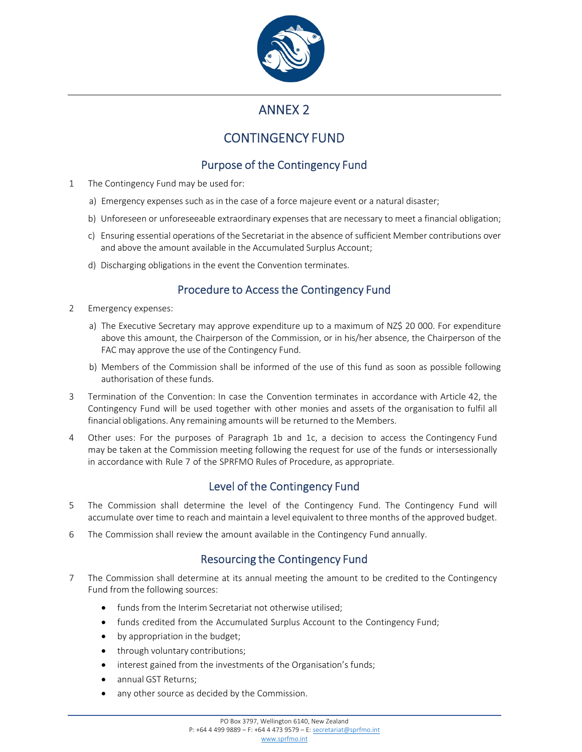

### ANNEX 2

## CONTINGENCY FUND

### Purpose of the Contingency Fund

- 1 The Contingency Fund may be used for:
	- a) Emergency expenses such as in the case of a force majeure event or a natural disaster;
	- b) Unforeseen or unforeseeable extraordinary expenses that are necessary to meet a financial obligation;
	- c) Ensuring essential operations of the Secretariat in the absence of sufficient Member contributions over and above the amount available in the Accumulated Surplus Account;
	- d) Discharging obligations in the event the Convention terminates.

### Procedure to Access the Contingency Fund

- 2 Emergency expenses:
	- a) The Executive Secretary may approve expenditure up to a maximum of NZ\$ 20 000. For expenditure above this amount, the Chairperson of the Commission, or in his/her absence, the Chairperson of the FAC may approve the use of the Contingency Fund.
	- b) Members of the Commission shall be informed of the use of this fund as soon as possible following authorisation of these funds.
- 3 Termination of the Convention: In case the Convention terminates in accordance with Article 42, the Contingency Fund will be used together with other monies and assets of the organisation to fulfil all financial obligations. Any remaining amounts will be returned to the Members.
- 4 Other uses: For the purposes of Paragraph 1b and 1c, a decision to access the Contingency Fund may be taken at the Commission meeting following the request for use of the funds or intersessionally in accordance with Rule 7 of the SPRFMO Rules of Procedure, as appropriate.

### Level of the Contingency Fund

- 5 The Commission shall determine the level of the Contingency Fund. The Contingency Fund will accumulate over time to reach and maintain a level equivalent to three months of the approved budget.
- <sup>6</sup> The Commission shall review the amount available in the Contingency Fund annually.

### Resourcing the Contingency Fund

- 7 The Commission shall determine at its annual meeting the amount to be credited to the Contingency Fund from the following sources:
	- funds from the Interim Secretariat not otherwise utilised;
	- funds credited from the Accumulated Surplus Account to the Contingency Fund;
	- by appropriation in the budget;
	- through voluntary contributions;
	- interest gained from the investments of the Organisation's funds;
	- annual GST Returns;
	- any other source as decided by the Commission.